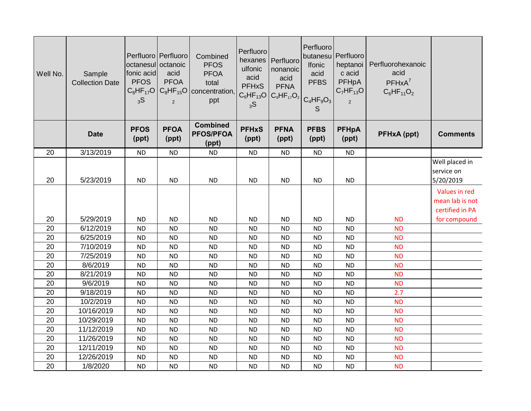| Well No. | Sample<br><b>Collection Date</b> | octanesul octanoic<br>fonic acid<br><b>PFOS</b><br>$C_8HF_{17}O$<br>3S | Perfluoro Perfluoro<br>acid<br><b>PFOA</b><br>$\overline{2}$ | Combined<br><b>PFOS</b><br><b>PFOA</b><br>total<br>$C_8$ HF <sub>15</sub> O concentration,<br>ppt | Perfluoro<br>hexanes<br>ulfonic<br>acid<br><b>PFHxS</b><br>$C_6HF_{13}O$<br>3S | Perfluoro<br>nonanoic<br>acid<br><b>PFNA</b> | Perfluoro<br>butanesu Perfluoro<br>Ifonic<br>acid<br><b>PFBS</b><br>$ C_9HF_{17}O_2 $ <sub>C4</sub> HF <sub>9</sub> O <sub>3</sub> <sup>1</sup><br>S | heptanoi<br>c acid<br>PFHpA<br>$C_7HF_{13}O$<br>$\overline{2}$ | Perfluorohexanoic<br>acid<br>$PFHxA^7$<br>$C_6HF_{11}O_2$ |                                                     |
|----------|----------------------------------|------------------------------------------------------------------------|--------------------------------------------------------------|---------------------------------------------------------------------------------------------------|--------------------------------------------------------------------------------|----------------------------------------------|------------------------------------------------------------------------------------------------------------------------------------------------------|----------------------------------------------------------------|-----------------------------------------------------------|-----------------------------------------------------|
|          | <b>Date</b>                      | <b>PFOS</b><br>(ppt)                                                   | <b>PFOA</b><br>(ppt)                                         | <b>Combined</b><br><b>PFOS/PFOA</b><br>(ppt)                                                      | <b>PFHxS</b><br>(ppt)                                                          | <b>PFNA</b><br>(ppt)                         | <b>PFBS</b><br>(ppt)                                                                                                                                 | <b>PFHpA</b><br>(ppt)                                          | <b>PFHxA</b> (ppt)                                        | <b>Comments</b>                                     |
| 20       | 3/13/2019                        | <b>ND</b>                                                              | <b>ND</b>                                                    | <b>ND</b>                                                                                         | <b>ND</b>                                                                      | <b>ND</b>                                    | <b>ND</b>                                                                                                                                            | <b>ND</b>                                                      |                                                           |                                                     |
| 20       | 5/23/2019                        | <b>ND</b>                                                              | <b>ND</b>                                                    | <b>ND</b>                                                                                         | <b>ND</b>                                                                      | <b>ND</b>                                    | <b>ND</b>                                                                                                                                            | <b>ND</b>                                                      |                                                           | Well placed in<br>service on<br>5/20/2019           |
|          |                                  |                                                                        |                                                              |                                                                                                   |                                                                                |                                              |                                                                                                                                                      |                                                                |                                                           | Values in red<br>mean lab is not<br>certified in PA |
| 20       | 5/29/2019                        | <b>ND</b>                                                              | <b>ND</b>                                                    | <b>ND</b>                                                                                         | <b>ND</b>                                                                      | <b>ND</b>                                    | <b>ND</b>                                                                                                                                            | <b>ND</b>                                                      | <b>ND</b>                                                 | for compound                                        |
| 20       | 6/12/2019                        | <b>ND</b>                                                              | <b>ND</b>                                                    | <b>ND</b>                                                                                         | <b>ND</b>                                                                      | <b>ND</b>                                    | <b>ND</b>                                                                                                                                            | <b>ND</b>                                                      | <b>ND</b>                                                 |                                                     |
| 20       | 6/25/2019                        | <b>ND</b>                                                              | <b>ND</b>                                                    | <b>ND</b>                                                                                         | <b>ND</b>                                                                      | <b>ND</b>                                    | <b>ND</b>                                                                                                                                            | <b>ND</b>                                                      | <b>ND</b>                                                 |                                                     |
| 20       | 7/10/2019                        | <b>ND</b>                                                              | <b>ND</b>                                                    | <b>ND</b>                                                                                         | <b>ND</b>                                                                      | <b>ND</b>                                    | <b>ND</b>                                                                                                                                            | <b>ND</b>                                                      | <b>ND</b>                                                 |                                                     |
| 20       | 7/25/2019                        | <b>ND</b>                                                              | <b>ND</b>                                                    | <b>ND</b>                                                                                         | <b>ND</b>                                                                      | <b>ND</b>                                    | <b>ND</b>                                                                                                                                            | <b>ND</b>                                                      | <b>ND</b>                                                 |                                                     |
| 20       | 8/6/2019                         | <b>ND</b>                                                              | <b>ND</b>                                                    | <b>ND</b>                                                                                         | <b>ND</b>                                                                      | <b>ND</b>                                    | <b>ND</b>                                                                                                                                            | <b>ND</b>                                                      | <b>ND</b>                                                 |                                                     |
| 20       | 8/21/2019                        | <b>ND</b>                                                              | <b>ND</b>                                                    | <b>ND</b>                                                                                         | <b>ND</b>                                                                      | <b>ND</b>                                    | <b>ND</b>                                                                                                                                            | <b>ND</b>                                                      | <b>ND</b>                                                 |                                                     |
| 20       | 9/6/2019                         | <b>ND</b>                                                              | <b>ND</b>                                                    | <b>ND</b>                                                                                         | <b>ND</b>                                                                      | <b>ND</b>                                    | <b>ND</b>                                                                                                                                            | <b>ND</b>                                                      | <b>ND</b>                                                 |                                                     |
| 20       | 9/18/2019                        | <b>ND</b>                                                              | <b>ND</b>                                                    | <b>ND</b>                                                                                         | <b>ND</b>                                                                      | <b>ND</b>                                    | <b>ND</b>                                                                                                                                            | <b>ND</b>                                                      | 2.7                                                       |                                                     |
| 20       | 10/2/2019                        | <b>ND</b>                                                              | <b>ND</b>                                                    | <b>ND</b>                                                                                         | <b>ND</b>                                                                      | <b>ND</b>                                    | <b>ND</b>                                                                                                                                            | <b>ND</b>                                                      | <b>ND</b>                                                 |                                                     |
| 20       | 10/16/2019                       | <b>ND</b>                                                              | <b>ND</b>                                                    | <b>ND</b>                                                                                         | ND                                                                             | <b>ND</b>                                    | <b>ND</b>                                                                                                                                            | <b>ND</b>                                                      | <b>ND</b>                                                 |                                                     |
| 20       | 10/29/2019                       | <b>ND</b>                                                              | <b>ND</b>                                                    | <b>ND</b>                                                                                         | <b>ND</b>                                                                      | <b>ND</b>                                    | <b>ND</b>                                                                                                                                            | <b>ND</b>                                                      | <b>ND</b>                                                 |                                                     |
| 20       | 11/12/2019                       | <b>ND</b>                                                              | <b>ND</b>                                                    | <b>ND</b>                                                                                         | <b>ND</b>                                                                      | <b>ND</b>                                    | <b>ND</b>                                                                                                                                            | <b>ND</b>                                                      | <b>ND</b>                                                 |                                                     |
| 20       | 11/26/2019                       | <b>ND</b>                                                              | <b>ND</b>                                                    | <b>ND</b>                                                                                         | <b>ND</b>                                                                      | <b>ND</b>                                    | <b>ND</b>                                                                                                                                            | <b>ND</b>                                                      | <b>ND</b>                                                 |                                                     |
| 20       | 12/11/2019                       | <b>ND</b>                                                              | <b>ND</b>                                                    | <b>ND</b>                                                                                         | <b>ND</b>                                                                      | <b>ND</b>                                    | <b>ND</b>                                                                                                                                            | <b>ND</b>                                                      | <b>ND</b>                                                 |                                                     |
| 20       | 12/26/2019                       | <b>ND</b>                                                              | <b>ND</b>                                                    | <b>ND</b>                                                                                         | <b>ND</b>                                                                      | <b>ND</b>                                    | <b>ND</b>                                                                                                                                            | <b>ND</b>                                                      | <b>ND</b>                                                 |                                                     |
| 20       | 1/8/2020                         | <b>ND</b>                                                              | <b>ND</b>                                                    | <b>ND</b>                                                                                         | <b>ND</b>                                                                      | <b>ND</b>                                    | <b>ND</b>                                                                                                                                            | <b>ND</b>                                                      | <b>ND</b>                                                 |                                                     |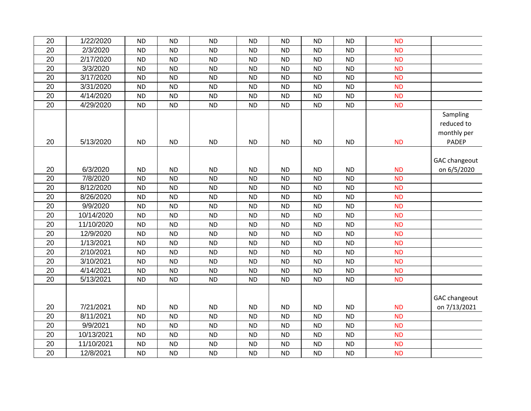|                      | <b>ND</b> | <b>ND</b> | <b>ND</b> | <b>ND</b> | <b>ND</b> | <b>ND</b> | <b>ND</b> | <b>ND</b> | 1/22/2020  | 20              |
|----------------------|-----------|-----------|-----------|-----------|-----------|-----------|-----------|-----------|------------|-----------------|
|                      | <b>ND</b> | <b>ND</b> | <b>ND</b> | <b>ND</b> | <b>ND</b> | <b>ND</b> | <b>ND</b> | <b>ND</b> | 2/3/2020   | 20              |
|                      | <b>ND</b> | <b>ND</b> | <b>ND</b> | <b>ND</b> | <b>ND</b> | <b>ND</b> | <b>ND</b> | <b>ND</b> | 2/17/2020  | 20              |
|                      | <b>ND</b> | <b>ND</b> | <b>ND</b> | <b>ND</b> | <b>ND</b> | <b>ND</b> | <b>ND</b> | <b>ND</b> | 3/3/2020   | 20              |
|                      | <b>ND</b> | <b>ND</b> | <b>ND</b> | <b>ND</b> | <b>ND</b> | <b>ND</b> | <b>ND</b> | <b>ND</b> | 3/17/2020  | 20              |
|                      | <b>ND</b> | <b>ND</b> | <b>ND</b> | <b>ND</b> | <b>ND</b> | <b>ND</b> | <b>ND</b> | <b>ND</b> | 3/31/2020  | 20              |
|                      | <b>ND</b> | <b>ND</b> | <b>ND</b> | <b>ND</b> | <b>ND</b> | <b>ND</b> | <b>ND</b> | <b>ND</b> | 4/14/2020  | 20              |
|                      | <b>ND</b> | <b>ND</b> | <b>ND</b> | <b>ND</b> | <b>ND</b> | <b>ND</b> | <b>ND</b> | <b>ND</b> | 4/29/2020  | 20              |
| Sampling             |           |           |           |           |           |           |           |           |            |                 |
| reduced to           |           |           |           |           |           |           |           |           |            |                 |
| monthly per          |           |           |           |           |           |           |           |           |            |                 |
| PADEP                | <b>ND</b> | <b>ND</b> | <b>ND</b> | <b>ND</b> | <b>ND</b> | <b>ND</b> | <b>ND</b> | <b>ND</b> | 5/13/2020  | 20              |
|                      |           |           |           |           |           |           |           |           |            |                 |
| <b>GAC changeout</b> |           |           |           |           |           |           |           |           |            |                 |
| on 6/5/2020          | <b>ND</b> | <b>ND</b> | <b>ND</b> | <b>ND</b> | <b>ND</b> | <b>ND</b> | <b>ND</b> | <b>ND</b> | 6/3/2020   | 20              |
|                      | <b>ND</b> | <b>ND</b> | <b>ND</b> | <b>ND</b> | <b>ND</b> | <b>ND</b> | <b>ND</b> | <b>ND</b> | 7/8/2020   | 20              |
|                      | <b>ND</b> | <b>ND</b> | <b>ND</b> | <b>ND</b> | <b>ND</b> | <b>ND</b> | <b>ND</b> | <b>ND</b> | 8/12/2020  | 20              |
|                      | <b>ND</b> | <b>ND</b> | <b>ND</b> | <b>ND</b> | <b>ND</b> | <b>ND</b> | <b>ND</b> | <b>ND</b> | 8/26/2020  | 20              |
|                      | <b>ND</b> | <b>ND</b> | <b>ND</b> | <b>ND</b> | <b>ND</b> | <b>ND</b> | <b>ND</b> | <b>ND</b> | 9/9/2020   | 20              |
|                      | <b>ND</b> | <b>ND</b> | <b>ND</b> | <b>ND</b> | <b>ND</b> | <b>ND</b> | <b>ND</b> | <b>ND</b> | 10/14/2020 | 20              |
|                      | <b>ND</b> | <b>ND</b> | <b>ND</b> | <b>ND</b> | <b>ND</b> | <b>ND</b> | <b>ND</b> | <b>ND</b> | 11/10/2020 | 20              |
|                      | <b>ND</b> | <b>ND</b> | <b>ND</b> | <b>ND</b> | <b>ND</b> | <b>ND</b> | <b>ND</b> | <b>ND</b> | 12/9/2020  | 20              |
|                      | <b>ND</b> | <b>ND</b> | <b>ND</b> | <b>ND</b> | <b>ND</b> | <b>ND</b> | <b>ND</b> | <b>ND</b> | 1/13/2021  | 20              |
|                      | <b>ND</b> | <b>ND</b> | <b>ND</b> | <b>ND</b> | <b>ND</b> | <b>ND</b> | <b>ND</b> | <b>ND</b> | 2/10/2021  | 20              |
|                      | <b>ND</b> | <b>ND</b> | <b>ND</b> | <b>ND</b> | <b>ND</b> | <b>ND</b> | <b>ND</b> | <b>ND</b> | 3/10/2021  | 20              |
|                      | <b>ND</b> | <b>ND</b> | <b>ND</b> | <b>ND</b> | <b>ND</b> | <b>ND</b> | <b>ND</b> | <b>ND</b> | 4/14/2021  | 20              |
|                      | <b>ND</b> | <b>ND</b> | <b>ND</b> | <b>ND</b> | <b>ND</b> | <b>ND</b> | <b>ND</b> | <b>ND</b> | 5/13/2021  | 20              |
|                      |           |           |           |           |           |           |           |           |            |                 |
| GAC changeout        |           |           |           |           |           |           |           |           |            |                 |
| on 7/13/2021         | <b>ND</b> | <b>ND</b> | <b>ND</b> | <b>ND</b> | <b>ND</b> | <b>ND</b> | <b>ND</b> | <b>ND</b> | 7/21/2021  | 20              |
|                      | <b>ND</b> | <b>ND</b> | <b>ND</b> | <b>ND</b> | <b>ND</b> | <b>ND</b> | <b>ND</b> | <b>ND</b> | 8/11/2021  | $\overline{20}$ |
|                      | <b>ND</b> | <b>ND</b> | <b>ND</b> | <b>ND</b> | <b>ND</b> | <b>ND</b> | <b>ND</b> | <b>ND</b> | 9/9/2021   | 20              |
|                      | <b>ND</b> | <b>ND</b> | <b>ND</b> | <b>ND</b> | <b>ND</b> | <b>ND</b> | <b>ND</b> | <b>ND</b> | 10/13/2021 | 20              |
|                      | <b>ND</b> | <b>ND</b> | <b>ND</b> | <b>ND</b> | <b>ND</b> | <b>ND</b> | <b>ND</b> | <b>ND</b> | 11/10/2021 | 20              |
|                      | <b>ND</b> | <b>ND</b> | <b>ND</b> | <b>ND</b> | <b>ND</b> | <b>ND</b> | <b>ND</b> | <b>ND</b> | 12/8/2021  | 20              |
|                      |           |           |           |           |           |           |           |           |            |                 |